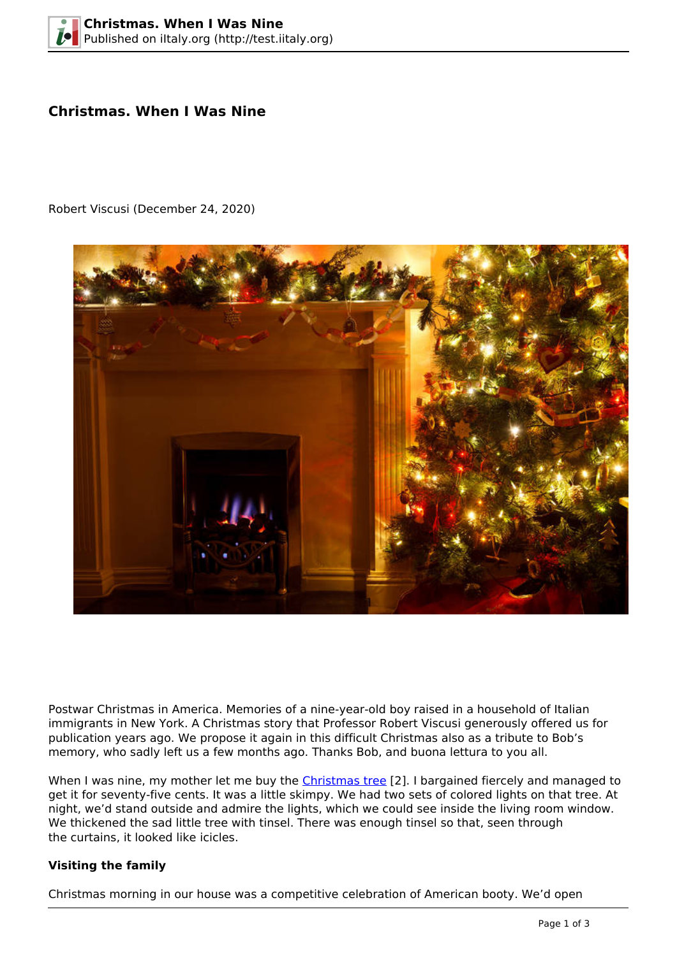# **Christmas. When I Was Nine**

Robert Viscusi (December 24, 2020)



Postwar Christmas in America. Memories of a nine-year-old boy raised in a household of Italian immigrants in New York. A Christmas story that Professor Robert Viscusi generously offered us for publication years ago. We propose it again in this difficult Christmas also as a tribute to Bob's memory, who sadly left us a few months ago. Thanks Bob, and buona lettura to you all.

When I was nine, my mother let me buy the [Christmas tree](http://en.wikipedia.org/wiki/Christmas_tree) [2]. I bargained fiercely and managed to get it for seventy-five cents. It was a little skimpy. We had two sets of colored lights on that tree. At night, we'd stand outside and admire the lights, which we could see inside the living room window. We thickened the sad little tree with tinsel. There was enough tinsel so that, seen through the curtains, it looked like icicles.

### **Visiting the family**

Christmas morning in our house was a competitive celebration of American booty. We'd open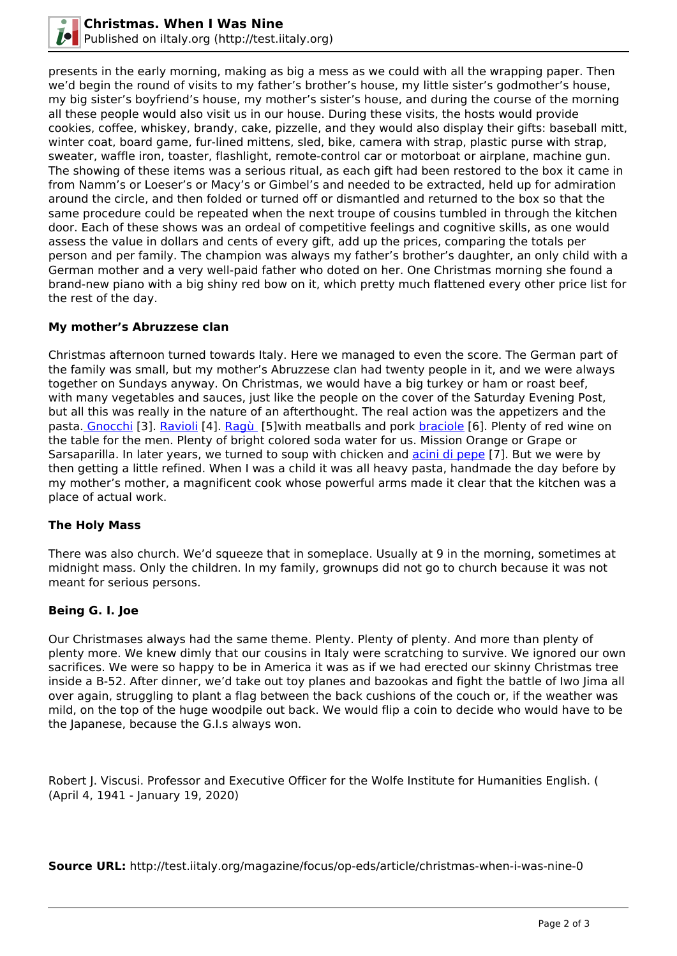

presents in the early morning, making as big a mess as we could with all the wrapping paper. Then we'd begin the round of visits to my father's brother's house, my little sister's godmother's house, my big sister's boyfriend's house, my mother's sister's house, and during the course of the morning all these people would also visit us in our house. During these visits, the hosts would provide cookies, coffee, whiskey, brandy, cake, pizzelle, and they would also display their gifts: baseball mitt, winter coat, board game, fur-lined mittens, sled, bike, camera with strap, plastic purse with strap, sweater, waffle iron, toaster, flashlight, remote-control car or motorboat or airplane, machine gun. The showing of these items was a serious ritual, as each gift had been restored to the box it came in from Namm's or Loeser's or Macy's or Gimbel's and needed to be extracted, held up for admiration around the circle, and then folded or turned off or dismantled and returned to the box so that the same procedure could be repeated when the next troupe of cousins tumbled in through the kitchen door. Each of these shows was an ordeal of competitive feelings and cognitive skills, as one would assess the value in dollars and cents of every gift, add up the prices, comparing the totals per person and per family. The champion was always my father's brother's daughter, an only child with a German mother and a very well-paid father who doted on her. One Christmas morning she found a brand-new piano with a big shiny red bow on it, which pretty much flattened every other price list for the rest of the day.

### **My mother's Abruzzese clan**

Christmas afternoon turned towards Italy. Here we managed to even the score. The German part of the family was small, but my mother's Abruzzese clan had twenty people in it, and we were always together on Sundays anyway. On Christmas, we would have a big turkey or ham or roast beef, with many vegetables and sauces, just like the people on the cover of the Saturday Evening Post, but all this was really in the nature of an afterthought. The real action was the appetizers and the pasta[. Gnocchi](http://en.wikipedia.org/wiki/Gnocchi) [3]. [Ravioli](http://en.wikipedia.org/wiki/Raviol) [4]. [Ragù](http://en.wikipedia.org/wiki/Rag%C3%B9) [5]with meatballs and pork [braciole](http://en.wikipedia.org/wiki/Braciola) [6]. Plenty of red wine on the table for the men. Plenty of bright colored soda water for us. Mission Orange or Grape or Sarsaparilla. In later years, we turned to soup with chicken and [acini di pepe](http://en.wikipedia.org/wiki/Acini_di_pepe) [7]. But we were by then getting a little refined. When I was a child it was all heavy pasta, handmade the day before by my mother's mother, a magnificent cook whose powerful arms made it clear that the kitchen was a place of actual work.

#### **The Holy Mass**

There was also church. We'd squeeze that in someplace. Usually at 9 in the morning, sometimes at midnight mass. Only the children. In my family, grownups did not go to church because it was not meant for serious persons.

### **Being G. I. Joe**

Our Christmases always had the same theme. Plenty. Plenty of plenty. And more than plenty of plenty more. We knew dimly that our cousins in Italy were scratching to survive. We ignored our own sacrifices. We were so happy to be in America it was as if we had erected our skinny Christmas tree inside a B-52. After dinner, we'd take out toy planes and bazookas and fight the battle of Iwo Jima all over again, struggling to plant a flag between the back cushions of the couch or, if the weather was mild, on the top of the huge woodpile out back. We would flip a coin to decide who would have to be the Japanese, because the G.I.s always won.

Robert J. Viscusi. Professor and Executive Officer for the Wolfe Institute for Humanities English. ( (April 4, 1941 - January 19, 2020)

**Source URL:** http://test.iitaly.org/magazine/focus/op-eds/article/christmas-when-i-was-nine-0